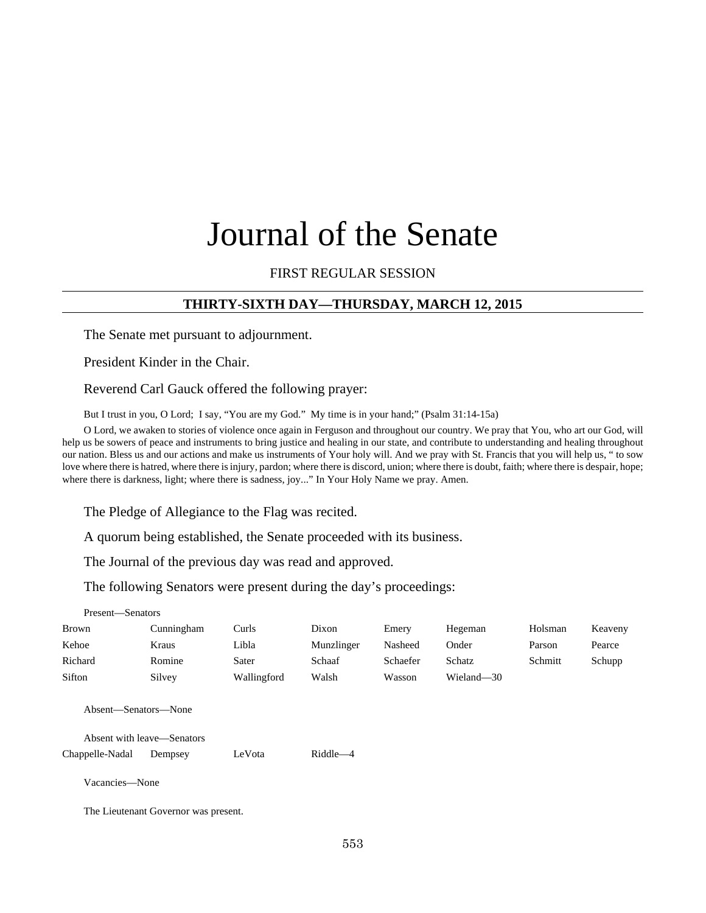# Journal of the Senate

## FIRST REGULAR SESSION

## **THIRTY-SIXTH DAY—THURSDAY, MARCH 12, 2015**

The Senate met pursuant to adjournment.

President Kinder in the Chair.

Reverend Carl Gauck offered the following prayer:

But I trust in you, O Lord; I say, "You are my God." My time is in your hand;" (Psalm 31:14-15a)

O Lord, we awaken to stories of violence once again in Ferguson and throughout our country. We pray that You, who art our God, will help us be sowers of peace and instruments to bring justice and healing in our state, and contribute to understanding and healing throughout our nation. Bless us and our actions and make us instruments of Your holy will. And we pray with St. Francis that you will help us, " to sow love where there is hatred, where there is injury, pardon; where there is discord, union; where there is doubt, faith; where there is despair, hope; where there is darkness, light; where there is sadness, joy..." In Your Holy Name we pray. Amen.

The Pledge of Allegiance to the Flag was recited.

A quorum being established, the Senate proceeded with its business.

The Journal of the previous day was read and approved.

The following Senators were present during the day's proceedings:

| Present-Senators     |                                      |             |            |          |            |         |         |
|----------------------|--------------------------------------|-------------|------------|----------|------------|---------|---------|
| <b>Brown</b>         | Cunningham                           | Curls       | Dixon      | Emery    | Hegeman    | Holsman | Keaveny |
| Kehoe                | Kraus                                | Libla       | Munzlinger | Nasheed  | Onder      | Parson  | Pearce  |
| Richard              | Romine                               | Sater       | Schaaf     | Schaefer | Schatz     | Schmitt | Schupp  |
| Sifton               | Silvey                               | Wallingford | Walsh      | Wasson   | Wieland-30 |         |         |
| Absent—Senators—None | Absent with leave—Senators           |             |            |          |            |         |         |
| Chappelle-Nadal      | Dempsey                              | LeVota      | Riddle-4   |          |            |         |         |
| Vacancies-None       |                                      |             |            |          |            |         |         |
|                      | The Lieutenant Governor was present. |             |            |          |            |         |         |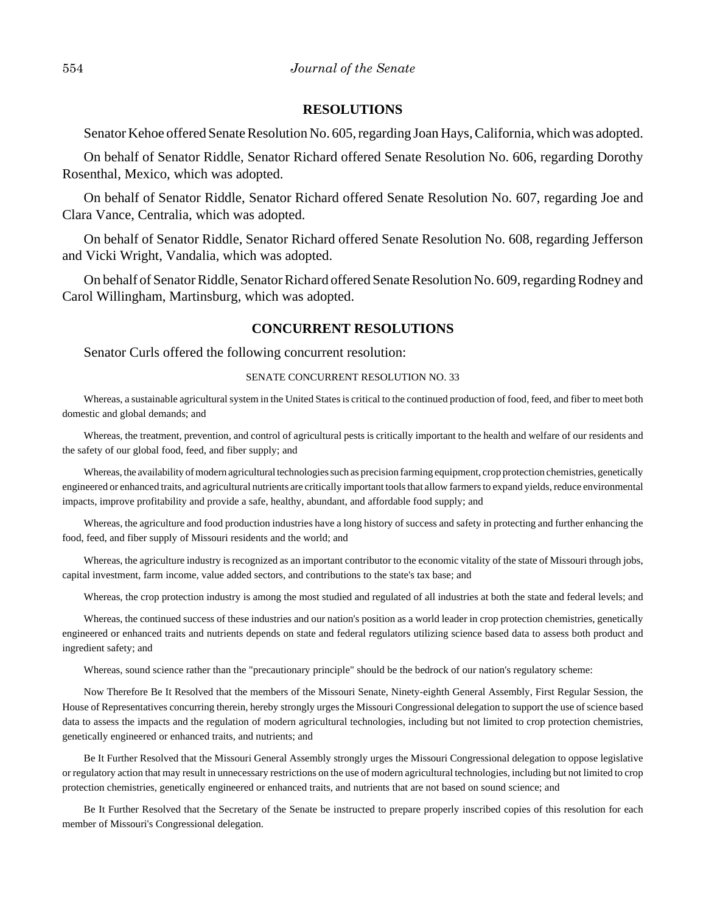#### **RESOLUTIONS**

Senator Kehoe offered Senate Resolution No. 605, regarding Joan Hays, California, which was adopted.

On behalf of Senator Riddle, Senator Richard offered Senate Resolution No. 606, regarding Dorothy Rosenthal, Mexico, which was adopted.

On behalf of Senator Riddle, Senator Richard offered Senate Resolution No. 607, regarding Joe and Clara Vance, Centralia, which was adopted.

On behalf of Senator Riddle, Senator Richard offered Senate Resolution No. 608, regarding Jefferson and Vicki Wright, Vandalia, which was adopted.

On behalf of Senator Riddle, Senator Richard offered Senate Resolution No. 609, regarding Rodney and Carol Willingham, Martinsburg, which was adopted.

#### **CONCURRENT RESOLUTIONS**

Senator Curls offered the following concurrent resolution:

#### SENATE CONCURRENT RESOLUTION NO. 33

Whereas, a sustainable agricultural system in the United States is critical to the continued production of food, feed, and fiber to meet both domestic and global demands; and

Whereas, the treatment, prevention, and control of agricultural pests is critically important to the health and welfare of our residents and the safety of our global food, feed, and fiber supply; and

Whereas, the availability of modern agricultural technologies such as precision farming equipment, crop protection chemistries, genetically engineered or enhanced traits, and agricultural nutrients are critically important tools that allow farmers to expand yields, reduce environmental impacts, improve profitability and provide a safe, healthy, abundant, and affordable food supply; and

Whereas, the agriculture and food production industries have a long history of success and safety in protecting and further enhancing the food, feed, and fiber supply of Missouri residents and the world; and

Whereas, the agriculture industry is recognized as an important contributor to the economic vitality of the state of Missouri through jobs, capital investment, farm income, value added sectors, and contributions to the state's tax base; and

Whereas, the crop protection industry is among the most studied and regulated of all industries at both the state and federal levels; and

Whereas, the continued success of these industries and our nation's position as a world leader in crop protection chemistries, genetically engineered or enhanced traits and nutrients depends on state and federal regulators utilizing science based data to assess both product and ingredient safety; and

Whereas, sound science rather than the "precautionary principle" should be the bedrock of our nation's regulatory scheme:

Now Therefore Be It Resolved that the members of the Missouri Senate, Ninety-eighth General Assembly, First Regular Session, the House of Representatives concurring therein, hereby strongly urges the Missouri Congressional delegation to support the use of science based data to assess the impacts and the regulation of modern agricultural technologies, including but not limited to crop protection chemistries, genetically engineered or enhanced traits, and nutrients; and

Be It Further Resolved that the Missouri General Assembly strongly urges the Missouri Congressional delegation to oppose legislative or regulatory action that may result in unnecessary restrictions on the use of modern agricultural technologies, including but not limited to crop protection chemistries, genetically engineered or enhanced traits, and nutrients that are not based on sound science; and

Be It Further Resolved that the Secretary of the Senate be instructed to prepare properly inscribed copies of this resolution for each member of Missouri's Congressional delegation.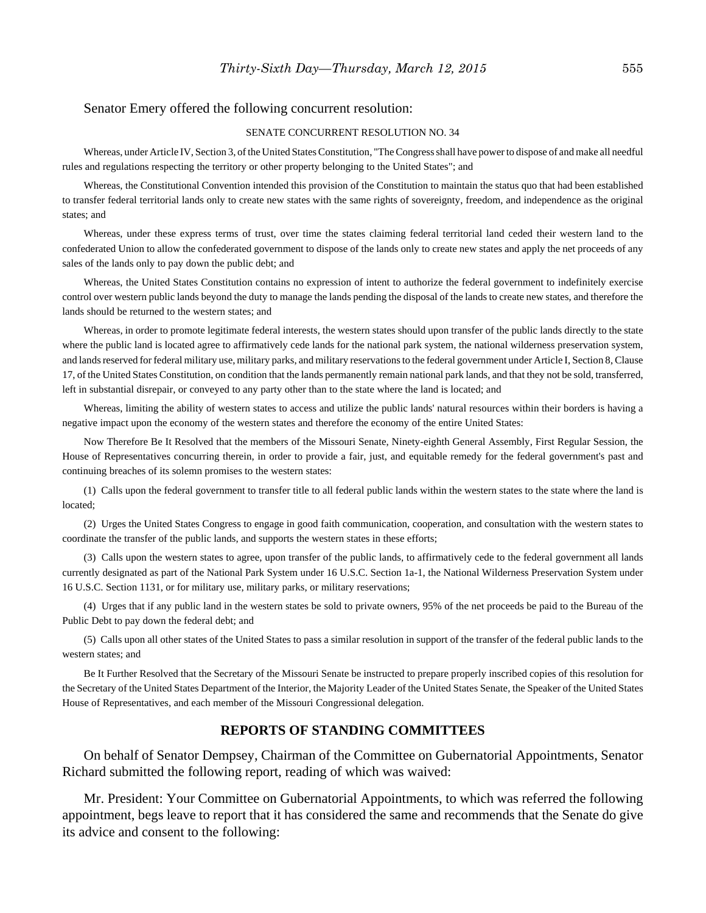#### Senator Emery offered the following concurrent resolution:

#### SENATE CONCURRENT RESOLUTION NO. 34

Whereas, under Article IV, Section 3, of the United States Constitution, "The Congress shall have power to dispose of and make all needful rules and regulations respecting the territory or other property belonging to the United States"; and

Whereas, the Constitutional Convention intended this provision of the Constitution to maintain the status quo that had been established to transfer federal territorial lands only to create new states with the same rights of sovereignty, freedom, and independence as the original states; and

Whereas, under these express terms of trust, over time the states claiming federal territorial land ceded their western land to the confederated Union to allow the confederated government to dispose of the lands only to create new states and apply the net proceeds of any sales of the lands only to pay down the public debt; and

Whereas, the United States Constitution contains no expression of intent to authorize the federal government to indefinitely exercise control over western public lands beyond the duty to manage the lands pending the disposal of the lands to create new states, and therefore the lands should be returned to the western states; and

Whereas, in order to promote legitimate federal interests, the western states should upon transfer of the public lands directly to the state where the public land is located agree to affirmatively cede lands for the national park system, the national wilderness preservation system, and lands reserved for federal military use, military parks, and military reservations to the federal government under Article I, Section 8, Clause 17, of the United States Constitution, on condition that the lands permanently remain national park lands, and that they not be sold, transferred, left in substantial disrepair, or conveyed to any party other than to the state where the land is located; and

Whereas, limiting the ability of western states to access and utilize the public lands' natural resources within their borders is having a negative impact upon the economy of the western states and therefore the economy of the entire United States:

Now Therefore Be It Resolved that the members of the Missouri Senate, Ninety-eighth General Assembly, First Regular Session, the House of Representatives concurring therein, in order to provide a fair, just, and equitable remedy for the federal government's past and continuing breaches of its solemn promises to the western states:

(1) Calls upon the federal government to transfer title to all federal public lands within the western states to the state where the land is located;

(2) Urges the United States Congress to engage in good faith communication, cooperation, and consultation with the western states to coordinate the transfer of the public lands, and supports the western states in these efforts;

(3) Calls upon the western states to agree, upon transfer of the public lands, to affirmatively cede to the federal government all lands currently designated as part of the National Park System under 16 U.S.C. Section 1a-1, the National Wilderness Preservation System under 16 U.S.C. Section 1131, or for military use, military parks, or military reservations;

(4) Urges that if any public land in the western states be sold to private owners, 95% of the net proceeds be paid to the Bureau of the Public Debt to pay down the federal debt; and

(5) Calls upon all other states of the United States to pass a similar resolution in support of the transfer of the federal public lands to the western states; and

Be It Further Resolved that the Secretary of the Missouri Senate be instructed to prepare properly inscribed copies of this resolution for the Secretary of the United States Department of the Interior, the Majority Leader of the United States Senate, the Speaker of the United States House of Representatives, and each member of the Missouri Congressional delegation.

#### **REPORTS OF STANDING COMMITTEES**

On behalf of Senator Dempsey, Chairman of the Committee on Gubernatorial Appointments, Senator Richard submitted the following report, reading of which was waived:

Mr. President: Your Committee on Gubernatorial Appointments, to which was referred the following appointment, begs leave to report that it has considered the same and recommends that the Senate do give its advice and consent to the following: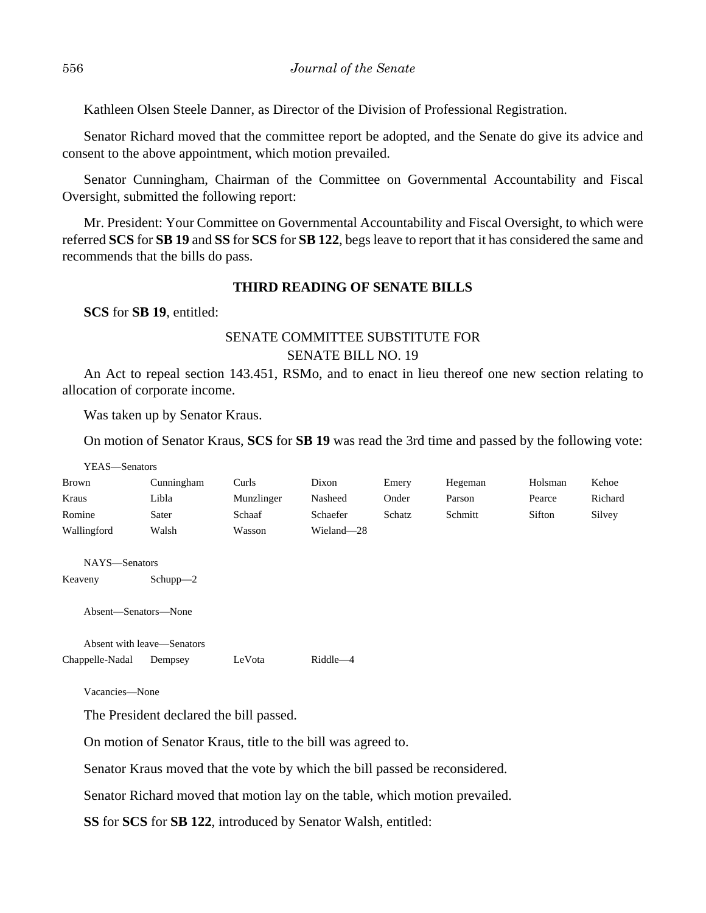Kathleen Olsen Steele Danner, as Director of the Division of Professional Registration.

Senator Richard moved that the committee report be adopted, and the Senate do give its advice and consent to the above appointment, which motion prevailed.

Senator Cunningham, Chairman of the Committee on Governmental Accountability and Fiscal Oversight, submitted the following report:

Mr. President: Your Committee on Governmental Accountability and Fiscal Oversight, to which were referred **SCS** for **SB 19** and **SS** for **SCS** for **SB 122**, begs leave to report that it has considered the same and recommends that the bills do pass.

## **THIRD READING OF SENATE BILLS**

**SCS** for **SB 19**, entitled:

# SENATE COMMITTEE SUBSTITUTE FOR SENATE BILL NO. 19

An Act to repeal section 143.451, RSMo, and to enact in lieu thereof one new section relating to allocation of corporate income.

Was taken up by Senator Kraus.

On motion of Senator Kraus, **SCS** for **SB 19** was read the 3rd time and passed by the following vote:

| YEAS-Senators |            |            |            |        |         |         |         |
|---------------|------------|------------|------------|--------|---------|---------|---------|
| <b>Brown</b>  | Cunningham | Curls      | Dixon      | Emery  | Hegeman | Holsman | Kehoe   |
| Kraus         | Libla      | Munzlinger | Nasheed    | Onder  | Parson  | Pearce  | Richard |
| Romine        | Sater      | Schaaf     | Schaefer   | Schatz | Schmitt | Sifton  | Silvey  |
| Wallingford   | Walsh      | Wasson     | Wieland-28 |        |         |         |         |
|               |            |            |            |        |         |         |         |

NAYS—Senators

Keaveny Schupp—2

Absent—Senators—None

Absent with leave—Senators Chappelle-Nadal Dempsey LeVota Riddle—4

Vacancies—None

The President declared the bill passed.

On motion of Senator Kraus, title to the bill was agreed to.

Senator Kraus moved that the vote by which the bill passed be reconsidered.

Senator Richard moved that motion lay on the table, which motion prevailed.

**SS** for **SCS** for **SB 122**, introduced by Senator Walsh, entitled: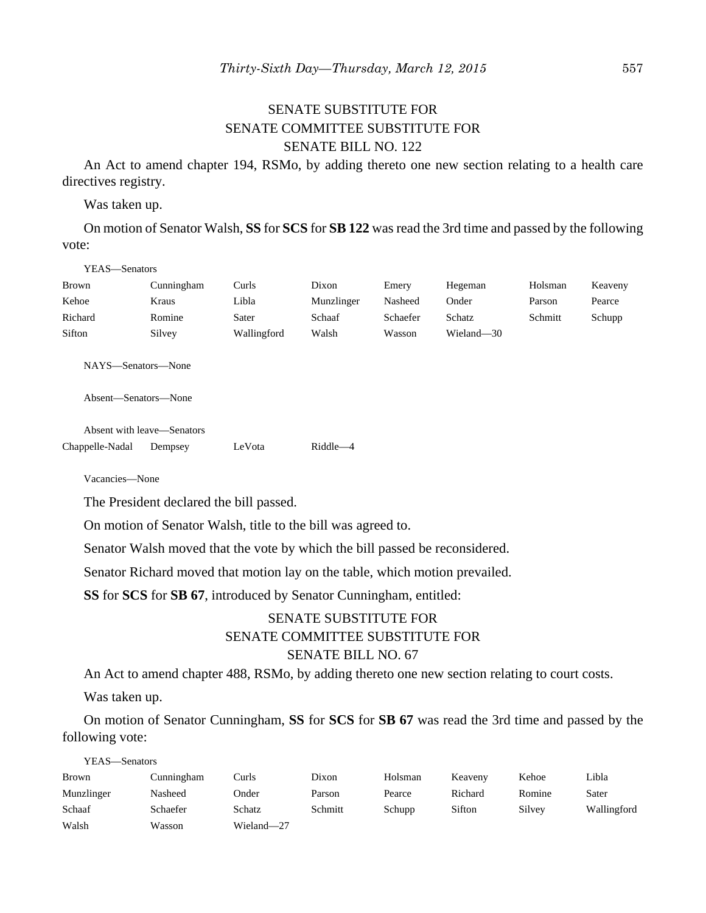# SENATE SUBSTITUTE FOR SENATE COMMITTEE SUBSTITUTE FOR SENATE BILL NO. 122

An Act to amend chapter 194, RSMo, by adding thereto one new section relating to a health care directives registry.

Was taken up.

On motion of Senator Walsh, **SS** for **SCS** for **SB 122** was read the 3rd time and passed by the following vote:

#### YEAS—Senators

| <b>Brown</b> | Cunningham | Curls       | Dixon      | Emery    | Hegeman    | Holsman | Keaveny |
|--------------|------------|-------------|------------|----------|------------|---------|---------|
| Kehoe        | Kraus      | Libla       | Munzlinger | Nasheed  | Onder      | Parson  | Pearce  |
| Richard      | Romine     | Sater       | Schaaf     | Schaefer | Schatz     | Schmitt | Schupp  |
| Sifton       | Silvey     | Wallingford | Walsh      | Wasson   | Wieland-30 |         |         |

NAYS—Senators—None

Absent—Senators—None

Absent with leave—Senators Chappelle-Nadal Dempsey LeVota Riddle—4

Vacancies—None

The President declared the bill passed.

On motion of Senator Walsh, title to the bill was agreed to.

Senator Walsh moved that the vote by which the bill passed be reconsidered.

Senator Richard moved that motion lay on the table, which motion prevailed.

**SS** for **SCS** for **SB 67**, introduced by Senator Cunningham, entitled:

# SENATE SUBSTITUTE FOR SENATE COMMITTEE SUBSTITUTE FOR SENATE BILL NO. 67

An Act to amend chapter 488, RSMo, by adding thereto one new section relating to court costs.

Was taken up.

On motion of Senator Cunningham, **SS** for **SCS** for **SB 67** was read the 3rd time and passed by the following vote:

YEAS—Senators

| <b>Brown</b> | Cunningham | Curls      | Dixon   | Holsman | Keaveny | Kehoe  | Libla       |
|--------------|------------|------------|---------|---------|---------|--------|-------------|
| Munzlinger   | Nasheed    | Onder      | Parson  | Pearce  | Richard | Romine | Sater       |
| Schaaf       | Schaefer   | Schatz     | Schmitt | Schupp  | Sifton  | Silvey | Wallingford |
| Walsh        | Wasson     | Wieland-27 |         |         |         |        |             |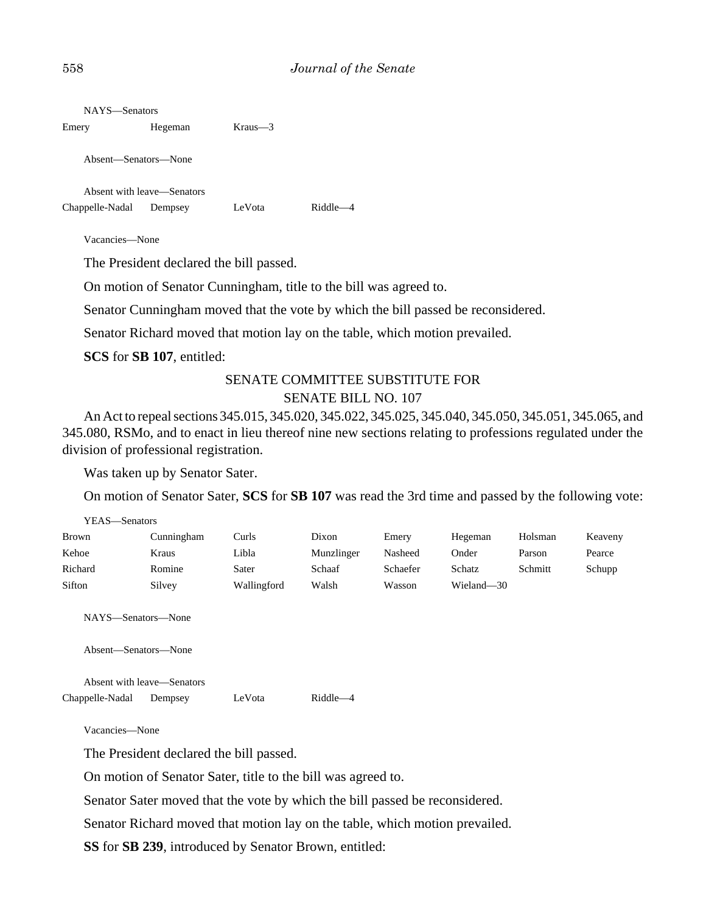| NAYS—Senators        |                            |         |         |
|----------------------|----------------------------|---------|---------|
| Emery                | Hegeman                    | Kraus—3 |         |
| Absent—Senators—None |                            |         |         |
|                      | Absent with leave—Senators |         |         |
| Chappelle-Nadal      | Dempsey                    | LeVota  | Riddle- |
|                      |                            |         |         |

Vacancies—None

The President declared the bill passed.

On motion of Senator Cunningham, title to the bill was agreed to.

Senator Cunningham moved that the vote by which the bill passed be reconsidered.

Senator Richard moved that motion lay on the table, which motion prevailed.

**SCS** for **SB 107**, entitled:

## SENATE COMMITTEE SUBSTITUTE FOR SENATE BILL NO. 107

An Act to repeal sections 345.015, 345.020, 345.022, 345.025, 345.040, 345.050, 345.051, 345.065, and 345.080, RSMo, and to enact in lieu thereof nine new sections relating to professions regulated under the division of professional registration.

Was taken up by Senator Sater.

On motion of Senator Sater, **SCS** for **SB 107** was read the 3rd time and passed by the following vote:

| YEAS—Senators                              |                            |             |            |          |            |         |         |
|--------------------------------------------|----------------------------|-------------|------------|----------|------------|---------|---------|
| <b>Brown</b>                               | Cunningham                 | Curls       | Dixon      | Emery    | Hegeman    | Holsman | Keaveny |
| Kehoe                                      | Kraus                      | Libla       | Munzlinger | Nasheed  | Onder      | Parson  | Pearce  |
| Richard                                    | Romine                     | Sater       | Schaaf     | Schaefer | Schatz     | Schmitt | Schupp  |
| Sifton                                     | Silvey                     | Wallingford | Walsh      | Wasson   | Wieland-30 |         |         |
| NAYS—Senators—None<br>Absent—Senators—None |                            |             |            |          |            |         |         |
|                                            | Absent with leave-Senators |             |            |          |            |         |         |
| Chappelle-Nadal                            | Dempsey                    | LeVota      | Riddle-4   |          |            |         |         |

Vacancies—None

YEAS—Senators

The President declared the bill passed.

On motion of Senator Sater, title to the bill was agreed to.

Senator Sater moved that the vote by which the bill passed be reconsidered.

Senator Richard moved that motion lay on the table, which motion prevailed.

**SS** for **SB 239**, introduced by Senator Brown, entitled: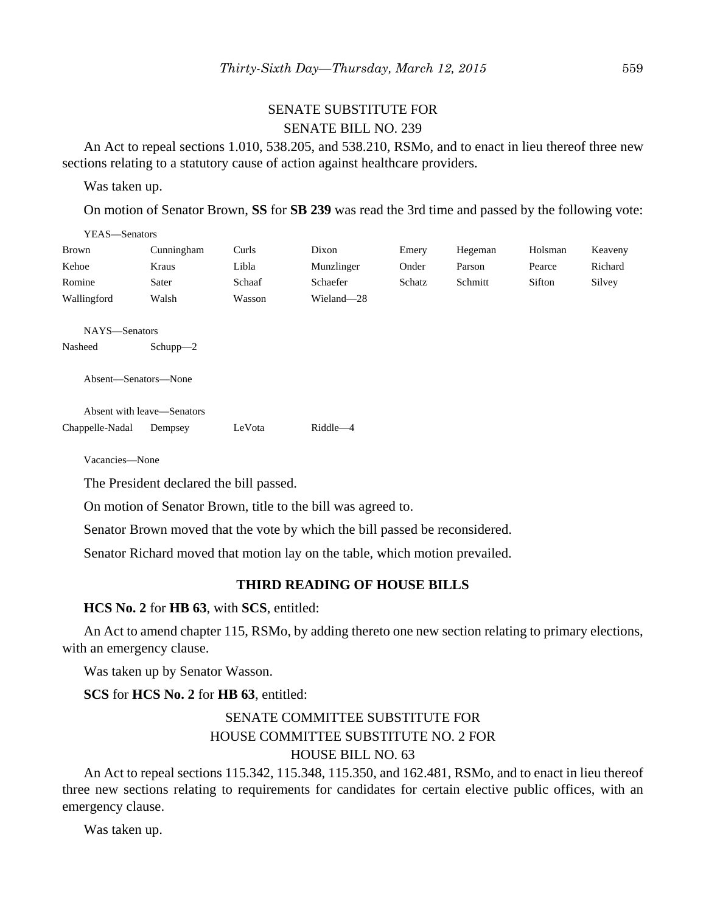# SENATE SUBSTITUTE FOR SENATE BILL NO. 239

An Act to repeal sections 1.010, 538.205, and 538.210, RSMo, and to enact in lieu thereof three new sections relating to a statutory cause of action against healthcare providers.

Was taken up.

 $\overline{y}$   $\overline{y}$   $\overline{z}$   $\overline{z}$   $\overline{z}$   $\overline{z}$ 

On motion of Senator Brown, **SS** for **SB 239** was read the 3rd time and passed by the following vote:

| YEAS—Senators        |                            |        |             |        |         |         |         |
|----------------------|----------------------------|--------|-------------|--------|---------|---------|---------|
| <b>Brown</b>         | Cunningham                 | Curls  | Dixon       | Emery  | Hegeman | Holsman | Keaveny |
| Kehoe                | Kraus                      | Libla  | Munzlinger  | Onder  | Parson  | Pearce  | Richard |
| Romine               | Sater                      | Schaaf | Schaefer    | Schatz | Schmitt | Sifton  | Silvey  |
| Wallingford          | Walsh                      | Wasson | Wieland-28  |        |         |         |         |
|                      |                            |        |             |        |         |         |         |
| NAYS-Senators        |                            |        |             |        |         |         |         |
| Nasheed              | $Schupp-2$                 |        |             |        |         |         |         |
|                      |                            |        |             |        |         |         |         |
| Absent-Senators-None |                            |        |             |        |         |         |         |
|                      |                            |        |             |        |         |         |         |
|                      | Absent with leave—Senators |        |             |        |         |         |         |
| Chappelle-Nadal      | Dempsey                    | LeVota | $Riddle -4$ |        |         |         |         |
|                      |                            |        |             |        |         |         |         |

Vacancies—None

The President declared the bill passed.

On motion of Senator Brown, title to the bill was agreed to.

Senator Brown moved that the vote by which the bill passed be reconsidered.

Senator Richard moved that motion lay on the table, which motion prevailed.

#### **THIRD READING OF HOUSE BILLS**

#### **HCS No. 2** for **HB 63**, with **SCS**, entitled:

An Act to amend chapter 115, RSMo, by adding thereto one new section relating to primary elections, with an emergency clause.

Was taken up by Senator Wasson.

**SCS** for **HCS No. 2** for **HB 63**, entitled:

# SENATE COMMITTEE SUBSTITUTE FOR HOUSE COMMITTEE SUBSTITUTE NO. 2 FOR HOUSE BILL NO. 63

An Act to repeal sections 115.342, 115.348, 115.350, and 162.481, RSMo, and to enact in lieu thereof three new sections relating to requirements for candidates for certain elective public offices, with an emergency clause.

Was taken up.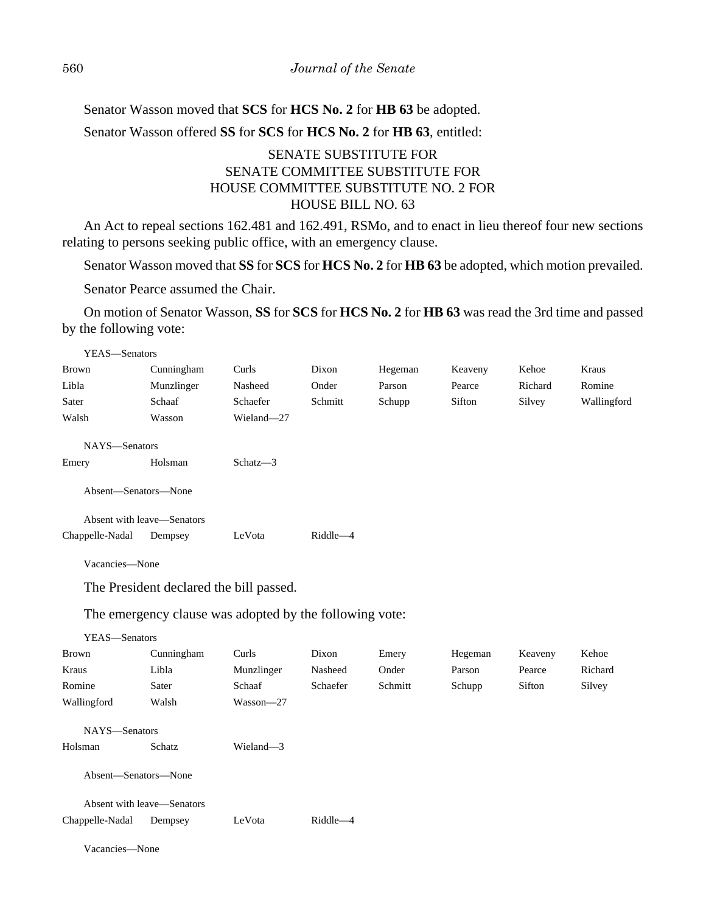Senator Wasson moved that **SCS** for **HCS No. 2** for **HB 63** be adopted. Senator Wasson offered **SS** for **SCS** for **HCS No. 2** for **HB 63**, entitled:

# SENATE SUBSTITUTE FOR SENATE COMMITTEE SUBSTITUTE FOR HOUSE COMMITTEE SUBSTITUTE NO. 2 FOR HOUSE BILL NO. 63

An Act to repeal sections 162.481 and 162.491, RSMo, and to enact in lieu thereof four new sections relating to persons seeking public office, with an emergency clause.

Senator Wasson moved that **SS** for **SCS** for **HCS No. 2** for **HB 63** be adopted, which motion prevailed.

Senator Pearce assumed the Chair.

On motion of Senator Wasson, **SS** for **SCS** for **HCS No. 2** for **HB 63** was read the 3rd time and passed by the following vote:

| YEAS-Senators        |                            |                                                         |          |         |         |         |             |
|----------------------|----------------------------|---------------------------------------------------------|----------|---------|---------|---------|-------------|
| <b>Brown</b>         | Cunningham                 | Curls                                                   | Dixon    | Hegeman | Keaveny | Kehoe   | Kraus       |
| Libla                | Munzlinger                 | Nasheed                                                 | Onder    | Parson  | Pearce  | Richard | Romine      |
| Sater                | Schaaf                     | Schaefer                                                | Schmitt  | Schupp  | Sifton  | Silvey  | Wallingford |
| Walsh                | Wasson                     | Wieland-27                                              |          |         |         |         |             |
| NAYS-Senators        |                            |                                                         |          |         |         |         |             |
| Emery                | Holsman                    | Schatz-3                                                |          |         |         |         |             |
| Absent-Senators-None |                            |                                                         |          |         |         |         |             |
|                      | Absent with leave—Senators |                                                         |          |         |         |         |             |
| Chappelle-Nadal      | Dempsey                    | LeVota                                                  | Riddle-4 |         |         |         |             |
| Vacancies-None       |                            |                                                         |          |         |         |         |             |
|                      |                            | The President declared the bill passed.                 |          |         |         |         |             |
|                      |                            | The emergency clause was adopted by the following vote: |          |         |         |         |             |
| YEAS-Senators        |                            |                                                         |          |         |         |         |             |
| <b>Brown</b>         | Cunningham                 | Curls                                                   | Dixon    | Emery   | Hegeman | Keaveny | Kehoe       |
| Kraus                | Libla                      | Munzlinger                                              | Nasheed  | Onder   | Parson  | Pearce  | Richard     |
| Romine               | Sater                      | Schaaf                                                  | Schaefer | Schmitt | Schupp  | Sifton  | Silvey      |
| Wallingford          | Walsh                      | Wasson-27                                               |          |         |         |         |             |
| NAYS-Senators        |                            |                                                         |          |         |         |         |             |
| Holsman              | <b>Schatz</b>              | Wieland-3                                               |          |         |         |         |             |

Absent—Senators—None

|                 | Absent with leave—Senators |        |          |
|-----------------|----------------------------|--------|----------|
| Chappelle-Nadal | Dempsey                    | LeVota | Riddle—4 |

Vacancies—None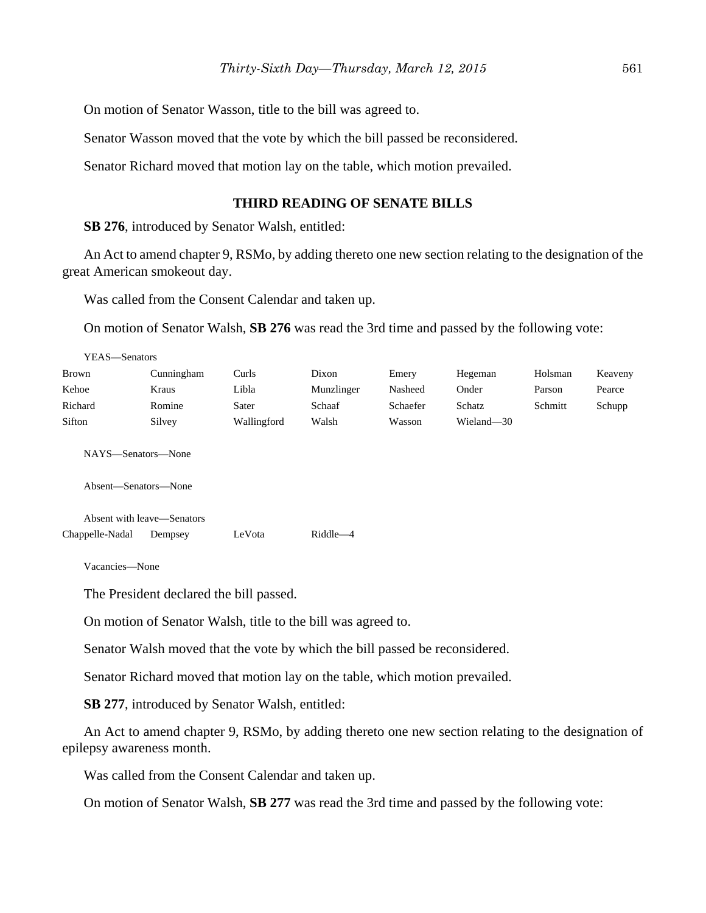On motion of Senator Wasson, title to the bill was agreed to.

Senator Wasson moved that the vote by which the bill passed be reconsidered.

Senator Richard moved that motion lay on the table, which motion prevailed.

#### **THIRD READING OF SENATE BILLS**

**SB 276**, introduced by Senator Walsh, entitled:

An Act to amend chapter 9, RSMo, by adding thereto one new section relating to the designation of the great American smokeout day.

Was called from the Consent Calendar and taken up.

On motion of Senator Walsh, **SB 276** was read the 3rd time and passed by the following vote:

| YEAS—Senators                              |            |             |            |          |            |         |         |
|--------------------------------------------|------------|-------------|------------|----------|------------|---------|---------|
| Brown                                      | Cunningham | Curls       | Dixon      | Emery    | Hegeman    | Holsman | Keaveny |
| Kehoe                                      | Kraus      | Libla       | Munzlinger | Nasheed  | Onder      | Parson  | Pearce  |
| Richard                                    | Romine     | Sater       | Schaaf     | Schaefer | Schatz     | Schmitt | Schupp  |
| Sifton                                     | Silvey     | Wallingford | Walsh      | Wasson   | Wieland-30 |         |         |
| NAYS—Senators—None<br>Absent—Senators—None |            |             |            |          |            |         |         |
| Absent with leave—Senators                 |            |             |            |          |            |         |         |
| Chappelle-Nadal                            | Dempsey    | LeVota      | Riddle-4   |          |            |         |         |

Vacancies—None

The President declared the bill passed.

On motion of Senator Walsh, title to the bill was agreed to.

Senator Walsh moved that the vote by which the bill passed be reconsidered.

Senator Richard moved that motion lay on the table, which motion prevailed.

**SB 277**, introduced by Senator Walsh, entitled:

An Act to amend chapter 9, RSMo, by adding thereto one new section relating to the designation of epilepsy awareness month.

Was called from the Consent Calendar and taken up.

On motion of Senator Walsh, **SB 277** was read the 3rd time and passed by the following vote: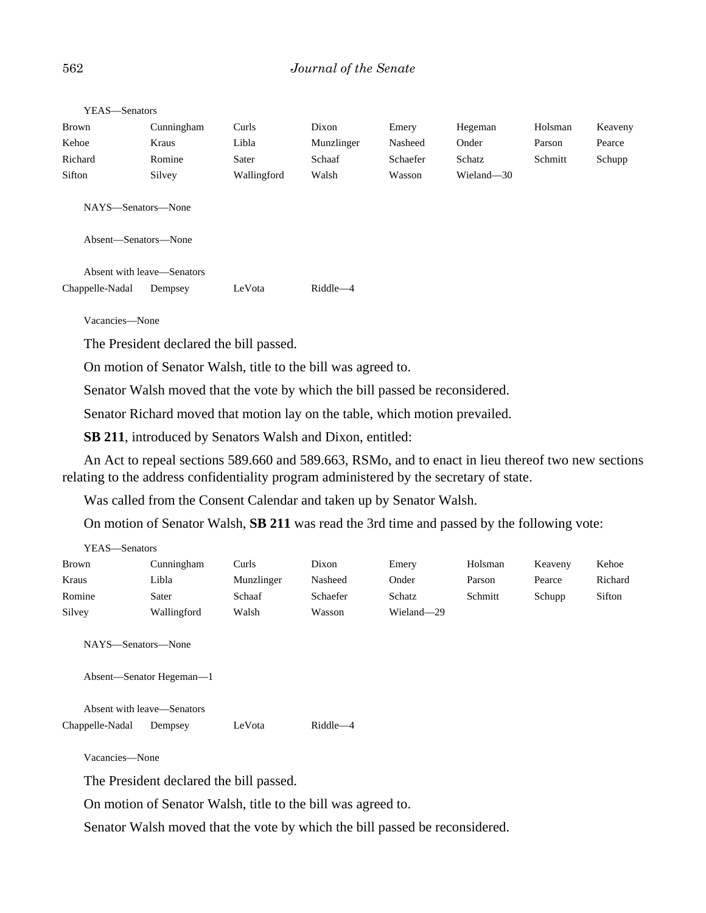| <b>Brown</b>       | Cunningham | Curls       | Dixon      | Emery    | Hegeman    | Holsman | Keaveny |
|--------------------|------------|-------------|------------|----------|------------|---------|---------|
| Kehoe              | Kraus      | Libla       | Munzlinger | Nasheed  | Onder      | Parson  | Pearce  |
| Richard            | Romine     | Sater       | Schaaf     | Schaefer | Schatz     | Schmitt | Schupp  |
| Sifton             | Silvey     | Wallingford | Walsh      | Wasson   | Wieland-30 |         |         |
| NAYS-Senators-None |            |             |            |          |            |         |         |

YEAS—Senators

Absent—Senators—None

Absent with leave—Senators Chappelle-Nadal Dempsey LeVota Riddle—4

Vacancies—None

The President declared the bill passed.

On motion of Senator Walsh, title to the bill was agreed to.

Senator Walsh moved that the vote by which the bill passed be reconsidered.

Senator Richard moved that motion lay on the table, which motion prevailed.

**SB 211**, introduced by Senators Walsh and Dixon, entitled:

An Act to repeal sections 589.660 and 589.663, RSMo, and to enact in lieu thereof two new sections relating to the address confidentiality program administered by the secretary of state.

Was called from the Consent Calendar and taken up by Senator Walsh.

On motion of Senator Walsh, **SB 211** was read the 3rd time and passed by the following vote:

| YEAS—Senators |             |            |          |            |         |         |         |
|---------------|-------------|------------|----------|------------|---------|---------|---------|
| <b>Brown</b>  | Cunningham  | Curls      | Dixon    | Emery      | Holsman | Keaveny | Kehoe   |
| Kraus         | Libla       | Munzlinger | Nasheed  | Onder      | Parson  | Pearce  | Richard |
| Romine        | Sater       | Schaaf     | Schaefer | Schatz     | Schmitt | Schupp  | Sifton  |
| Silvey        | Wallingford | Walsh      | Wasson   | Wieland-29 |         |         |         |

NAYS—Senators—None

Absent—Senator Hegeman—1

Absent with leave—Senators Chappelle-Nadal Dempsey LeVota Riddle—4

Vacancies—None

The President declared the bill passed.

On motion of Senator Walsh, title to the bill was agreed to.

Senator Walsh moved that the vote by which the bill passed be reconsidered.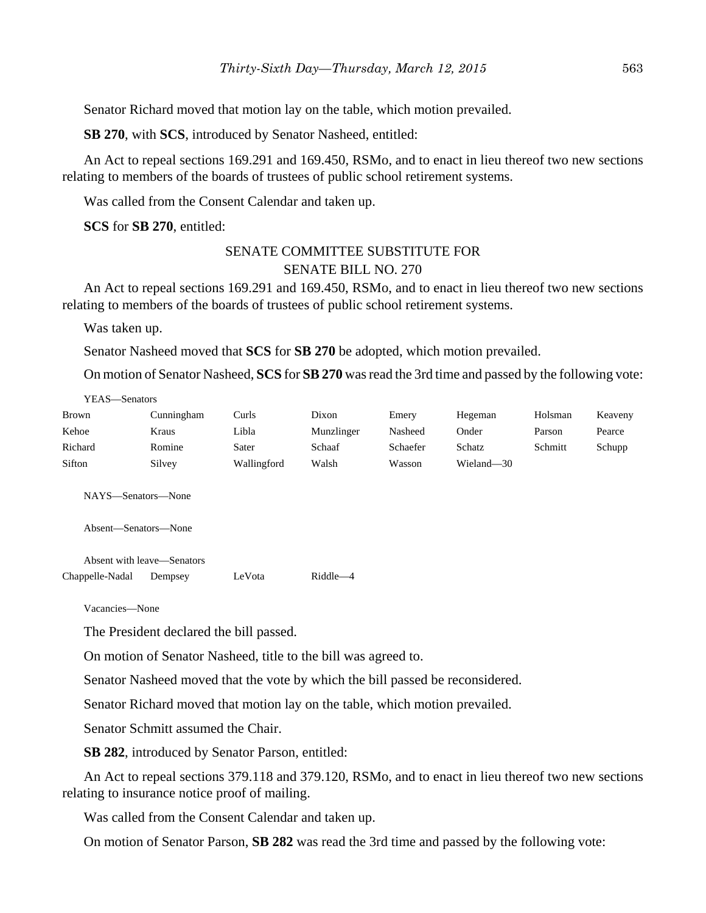Senator Richard moved that motion lay on the table, which motion prevailed.

**SB 270**, with **SCS**, introduced by Senator Nasheed, entitled:

An Act to repeal sections 169.291 and 169.450, RSMo, and to enact in lieu thereof two new sections relating to members of the boards of trustees of public school retirement systems.

Was called from the Consent Calendar and taken up.

**SCS** for **SB 270**, entitled:

## SENATE COMMITTEE SUBSTITUTE FOR SENATE BILL NO. 270

An Act to repeal sections 169.291 and 169.450, RSMo, and to enact in lieu thereof two new sections relating to members of the boards of trustees of public school retirement systems.

Was taken up.

Senator Nasheed moved that **SCS** for **SB 270** be adopted, which motion prevailed.

On motion of Senator Nasheed, **SCS** for **SB 270** was read the 3rd time and passed by the following vote:

| YEAS—Senators                              |                            |             |            |          |            |         |         |
|--------------------------------------------|----------------------------|-------------|------------|----------|------------|---------|---------|
| <b>Brown</b>                               | Cunningham                 | Curls       | Dixon      | Emery    | Hegeman    | Holsman | Keaveny |
| Kehoe                                      | Kraus                      | Libla       | Munzlinger | Nasheed  | Onder      | Parson  | Pearce  |
| Richard                                    | Romine                     | Sater       | Schaaf     | Schaefer | Schatz     | Schmitt | Schupp  |
| Sifton                                     | Silvey                     | Wallingford | Walsh      | Wasson   | Wieland-30 |         |         |
| NAYS—Senators—None<br>Absent-Senators-None |                            |             |            |          |            |         |         |
|                                            | Absent with leave—Senators |             |            |          |            |         |         |
| Chappelle-Nadal                            | Dempsey                    | LeVota      | Riddle-4   |          |            |         |         |

Vacancies—None

The President declared the bill passed.

On motion of Senator Nasheed, title to the bill was agreed to.

Senator Nasheed moved that the vote by which the bill passed be reconsidered.

Senator Richard moved that motion lay on the table, which motion prevailed.

Senator Schmitt assumed the Chair.

**SB 282**, introduced by Senator Parson, entitled:

An Act to repeal sections 379.118 and 379.120, RSMo, and to enact in lieu thereof two new sections relating to insurance notice proof of mailing.

Was called from the Consent Calendar and taken up.

On motion of Senator Parson, **SB 282** was read the 3rd time and passed by the following vote: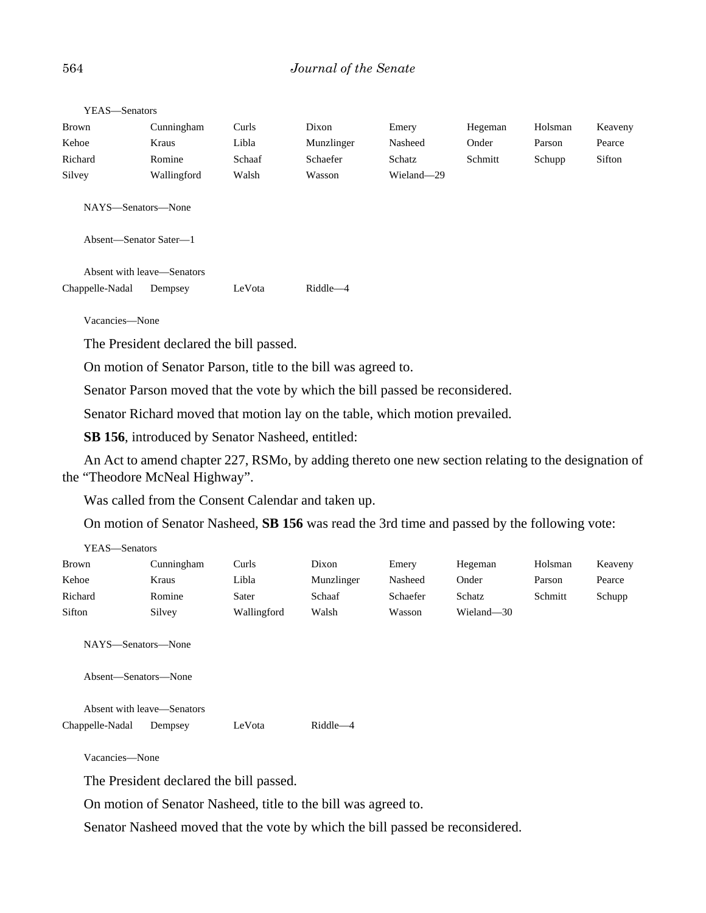#### 564 *Journal of the Senate*

| Brown<br>Kehoe<br>Richard<br>Silvey           | Cunningham<br>Kraus<br>Romine<br>Wallingford | Curls<br>Libla<br>Schaaf<br>Walsh | Dixon<br>Munzlinger<br>Schaefer<br>Wasson | Emery<br>Nasheed<br>Schatz<br>Wieland-29 | Hegeman<br>Onder<br>Schmitt | Holsman<br>Parson<br>Schupp | Keaveny<br>Pearce<br>Sifton |
|-----------------------------------------------|----------------------------------------------|-----------------------------------|-------------------------------------------|------------------------------------------|-----------------------------|-----------------------------|-----------------------------|
| NAYS—Senators—None                            |                                              |                                   |                                           |                                          |                             |                             |                             |
| Absent—Senator Sater—1                        |                                              |                                   |                                           |                                          |                             |                             |                             |
| Absent with leave—Senators<br>Chappelle-Nadal | Dempsey                                      | LeVota                            | $Riddle -4$                               |                                          |                             |                             |                             |

YEAS—Senators

Vacancies—None

The President declared the bill passed.

On motion of Senator Parson, title to the bill was agreed to.

Senator Parson moved that the vote by which the bill passed be reconsidered.

Senator Richard moved that motion lay on the table, which motion prevailed.

**SB 156**, introduced by Senator Nasheed, entitled:

An Act to amend chapter 227, RSMo, by adding thereto one new section relating to the designation of the "Theodore McNeal Highway".

Was called from the Consent Calendar and taken up.

On motion of Senator Nasheed, **SB 156** was read the 3rd time and passed by the following vote:

| YEAS—Senators |            |             |            |          |            |         |         |
|---------------|------------|-------------|------------|----------|------------|---------|---------|
| <b>Brown</b>  | Cunningham | Curls       | Dixon      | Emery    | Hegeman    | Holsman | Keaveny |
| Kehoe         | Kraus      | Libla       | Munzlinger | Nasheed  | Onder      | Parson  | Pearce  |
| Richard       | Romine     | Sater       | Schaaf     | Schaefer | Schatz     | Schmitt | Schupp  |
| Sifton        | Silvey     | Wallingford | Walsh      | Wasson   | Wieland-30 |         |         |

NAYS—Senators—None

Absent—Senators—None

Absent with leave—Senators Chappelle-Nadal Dempsey LeVota Riddle—4

Vacancies—None

The President declared the bill passed.

On motion of Senator Nasheed, title to the bill was agreed to.

Senator Nasheed moved that the vote by which the bill passed be reconsidered.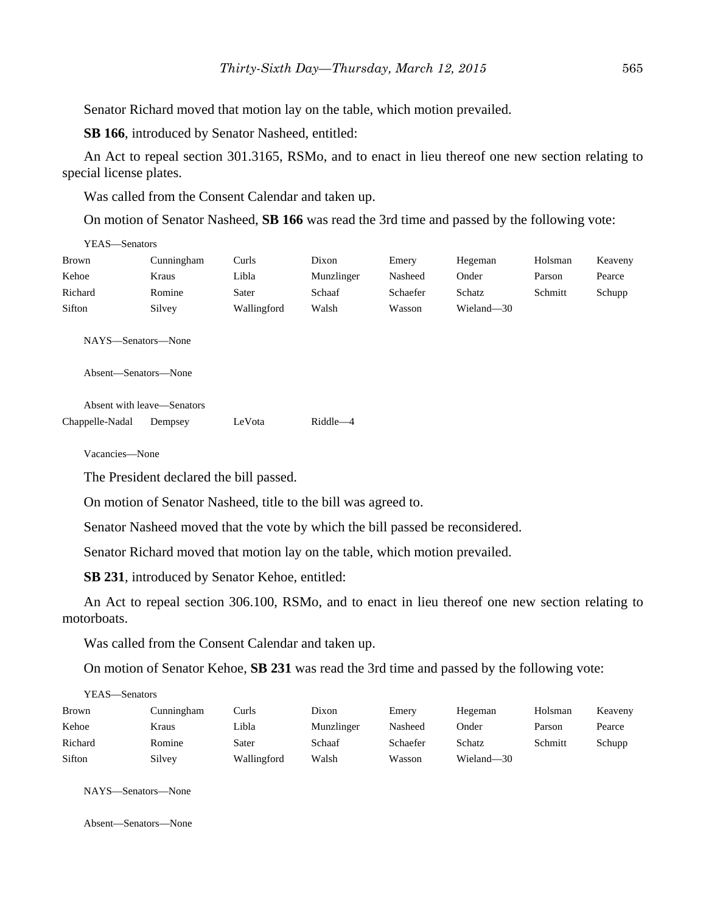Senator Richard moved that motion lay on the table, which motion prevailed.

**SB 166**, introduced by Senator Nasheed, entitled:

An Act to repeal section 301.3165, RSMo, and to enact in lieu thereof one new section relating to special license plates.

Was called from the Consent Calendar and taken up.

On motion of Senator Nasheed, **SB 166** was read the 3rd time and passed by the following vote:

| YEAS—Senators |            |             |            |          |            |         |         |
|---------------|------------|-------------|------------|----------|------------|---------|---------|
| <b>Brown</b>  | Cunningham | Curls       | Dixon      | Emery    | Hegeman    | Holsman | Keaveny |
| Kehoe         | Kraus      | Libla       | Munzlinger | Nasheed  | Onder      | Parson  | Pearce  |
| Richard       | Romine     | Sater       | Schaaf     | Schaefer | Schatz     | Schmitt | Schupp  |
| Sifton        | Silvey     | Wallingford | Walsh      | Wasson   | Wieland-30 |         |         |

NAYS—Senators—None

Absent—Senators—None

Absent with leave—Senators Chappelle-Nadal Dempsey LeVota Riddle—4

Vacancies—None

The President declared the bill passed.

On motion of Senator Nasheed, title to the bill was agreed to.

Senator Nasheed moved that the vote by which the bill passed be reconsidered.

Senator Richard moved that motion lay on the table, which motion prevailed.

**SB 231**, introduced by Senator Kehoe, entitled:

An Act to repeal section 306.100, RSMo, and to enact in lieu thereof one new section relating to motorboats.

Was called from the Consent Calendar and taken up.

On motion of Senator Kehoe, **SB 231** was read the 3rd time and passed by the following vote:

| YEAS—Senators |            |             |            |          |            |         |         |
|---------------|------------|-------------|------------|----------|------------|---------|---------|
| <b>Brown</b>  | Cunningham | Curls       | Dixon      | Emery    | Hegeman    | Holsman | Keaveny |
| Kehoe         | Kraus      | Libla       | Munzlinger | Nasheed  | Onder      | Parson  | Pearce  |
| Richard       | Romine     | Sater       | Schaaf     | Schaefer | Schatz     | Schmitt | Schupp  |
| Sifton        | Silvey     | Wallingford | Walsh      | Wasson   | Wieland-30 |         |         |

NAYS—Senators—None

Absent—Senators—None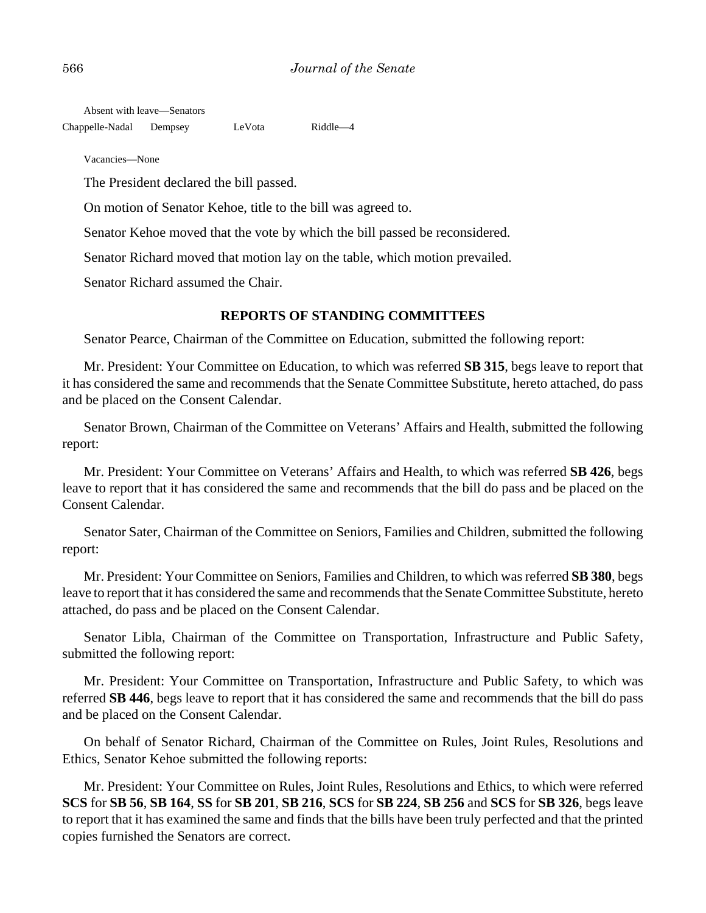Absent with leave—Senators

Chappelle-Nadal Dempsey LeVota Riddle—4

Vacancies—None

The President declared the bill passed.

On motion of Senator Kehoe, title to the bill was agreed to.

Senator Kehoe moved that the vote by which the bill passed be reconsidered.

Senator Richard moved that motion lay on the table, which motion prevailed.

Senator Richard assumed the Chair.

# **REPORTS OF STANDING COMMITTEES**

Senator Pearce, Chairman of the Committee on Education, submitted the following report:

Mr. President: Your Committee on Education, to which was referred **SB 315**, begs leave to report that it has considered the same and recommends that the Senate Committee Substitute, hereto attached, do pass and be placed on the Consent Calendar.

Senator Brown, Chairman of the Committee on Veterans' Affairs and Health, submitted the following report:

Mr. President: Your Committee on Veterans' Affairs and Health, to which was referred **SB 426**, begs leave to report that it has considered the same and recommends that the bill do pass and be placed on the Consent Calendar.

Senator Sater, Chairman of the Committee on Seniors, Families and Children, submitted the following report:

Mr. President: Your Committee on Seniors, Families and Children, to which was referred **SB 380**, begs leave to report that it has considered the same and recommends that the Senate Committee Substitute, hereto attached, do pass and be placed on the Consent Calendar.

Senator Libla, Chairman of the Committee on Transportation, Infrastructure and Public Safety, submitted the following report:

Mr. President: Your Committee on Transportation, Infrastructure and Public Safety, to which was referred **SB 446**, begs leave to report that it has considered the same and recommends that the bill do pass and be placed on the Consent Calendar.

On behalf of Senator Richard, Chairman of the Committee on Rules, Joint Rules, Resolutions and Ethics, Senator Kehoe submitted the following reports:

Mr. President: Your Committee on Rules, Joint Rules, Resolutions and Ethics, to which were referred **SCS** for **SB 56**, **SB 164**, **SS** for **SB 201**, **SB 216**, **SCS** for **SB 224**, **SB 256** and **SCS** for **SB 326**, begs leave to report that it has examined the same and finds that the bills have been truly perfected and that the printed copies furnished the Senators are correct.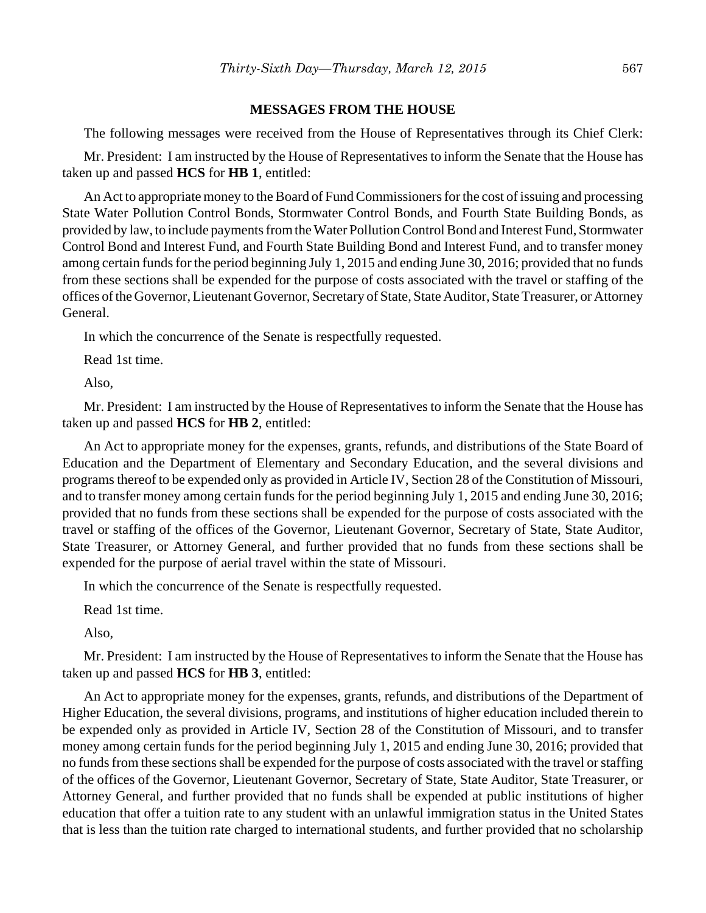#### **MESSAGES FROM THE HOUSE**

The following messages were received from the House of Representatives through its Chief Clerk:

Mr. President: I am instructed by the House of Representatives to inform the Senate that the House has taken up and passed **HCS** for **HB 1**, entitled:

An Act to appropriate money to the Board of Fund Commissioners for the cost of issuing and processing State Water Pollution Control Bonds, Stormwater Control Bonds, and Fourth State Building Bonds, as provided by law, to include payments from the Water Pollution Control Bond and Interest Fund, Stormwater Control Bond and Interest Fund, and Fourth State Building Bond and Interest Fund, and to transfer money among certain funds for the period beginning July 1, 2015 and ending June 30, 2016; provided that no funds from these sections shall be expended for the purpose of costs associated with the travel or staffing of the offices of the Governor, Lieutenant Governor, Secretary of State, State Auditor, State Treasurer, or Attorney General.

In which the concurrence of the Senate is respectfully requested.

Read 1st time.

Also,

Mr. President: I am instructed by the House of Representatives to inform the Senate that the House has taken up and passed **HCS** for **HB 2**, entitled:

An Act to appropriate money for the expenses, grants, refunds, and distributions of the State Board of Education and the Department of Elementary and Secondary Education, and the several divisions and programs thereof to be expended only as provided in Article IV, Section 28 of the Constitution of Missouri, and to transfer money among certain funds for the period beginning July 1, 2015 and ending June 30, 2016; provided that no funds from these sections shall be expended for the purpose of costs associated with the travel or staffing of the offices of the Governor, Lieutenant Governor, Secretary of State, State Auditor, State Treasurer, or Attorney General, and further provided that no funds from these sections shall be expended for the purpose of aerial travel within the state of Missouri.

In which the concurrence of the Senate is respectfully requested.

Read 1st time.

Also,

Mr. President: I am instructed by the House of Representatives to inform the Senate that the House has taken up and passed **HCS** for **HB 3**, entitled:

An Act to appropriate money for the expenses, grants, refunds, and distributions of the Department of Higher Education, the several divisions, programs, and institutions of higher education included therein to be expended only as provided in Article IV, Section 28 of the Constitution of Missouri, and to transfer money among certain funds for the period beginning July 1, 2015 and ending June 30, 2016; provided that no funds from these sections shall be expended for the purpose of costs associated with the travel or staffing of the offices of the Governor, Lieutenant Governor, Secretary of State, State Auditor, State Treasurer, or Attorney General, and further provided that no funds shall be expended at public institutions of higher education that offer a tuition rate to any student with an unlawful immigration status in the United States that is less than the tuition rate charged to international students, and further provided that no scholarship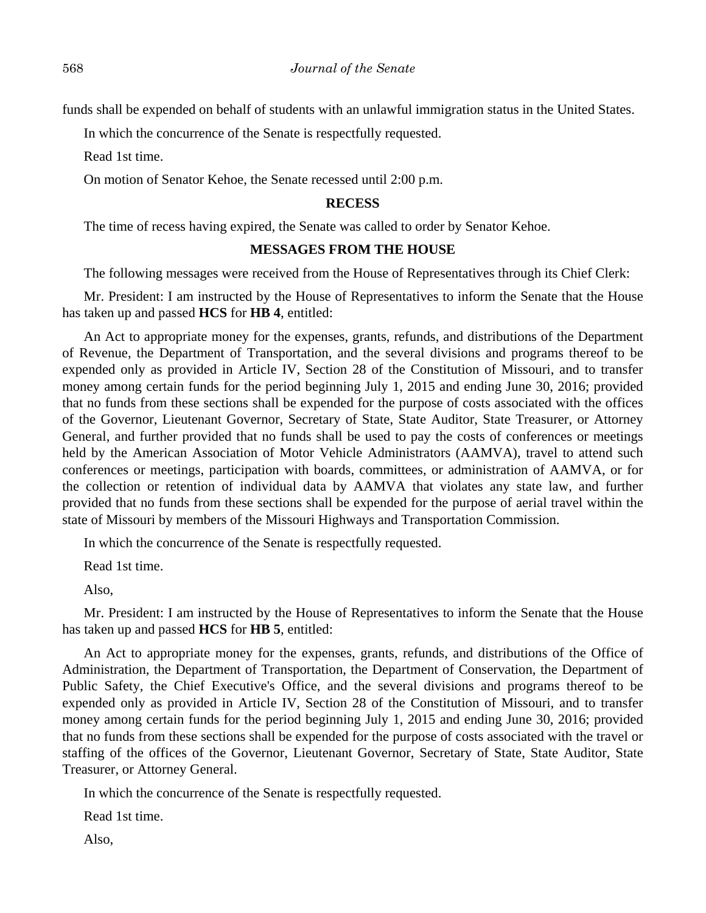funds shall be expended on behalf of students with an unlawful immigration status in the United States.

In which the concurrence of the Senate is respectfully requested.

Read 1st time.

On motion of Senator Kehoe, the Senate recessed until 2:00 p.m.

#### **RECESS**

The time of recess having expired, the Senate was called to order by Senator Kehoe.

#### **MESSAGES FROM THE HOUSE**

The following messages were received from the House of Representatives through its Chief Clerk:

Mr. President: I am instructed by the House of Representatives to inform the Senate that the House has taken up and passed **HCS** for **HB 4**, entitled:

An Act to appropriate money for the expenses, grants, refunds, and distributions of the Department of Revenue, the Department of Transportation, and the several divisions and programs thereof to be expended only as provided in Article IV, Section 28 of the Constitution of Missouri, and to transfer money among certain funds for the period beginning July 1, 2015 and ending June 30, 2016; provided that no funds from these sections shall be expended for the purpose of costs associated with the offices of the Governor, Lieutenant Governor, Secretary of State, State Auditor, State Treasurer, or Attorney General, and further provided that no funds shall be used to pay the costs of conferences or meetings held by the American Association of Motor Vehicle Administrators (AAMVA), travel to attend such conferences or meetings, participation with boards, committees, or administration of AAMVA, or for the collection or retention of individual data by AAMVA that violates any state law, and further provided that no funds from these sections shall be expended for the purpose of aerial travel within the state of Missouri by members of the Missouri Highways and Transportation Commission.

In which the concurrence of the Senate is respectfully requested.

Read 1st time.

Also,

Mr. President: I am instructed by the House of Representatives to inform the Senate that the House has taken up and passed **HCS** for **HB 5**, entitled:

An Act to appropriate money for the expenses, grants, refunds, and distributions of the Office of Administration, the Department of Transportation, the Department of Conservation, the Department of Public Safety, the Chief Executive's Office, and the several divisions and programs thereof to be expended only as provided in Article IV, Section 28 of the Constitution of Missouri, and to transfer money among certain funds for the period beginning July 1, 2015 and ending June 30, 2016; provided that no funds from these sections shall be expended for the purpose of costs associated with the travel or staffing of the offices of the Governor, Lieutenant Governor, Secretary of State, State Auditor, State Treasurer, or Attorney General.

In which the concurrence of the Senate is respectfully requested.

Read 1st time.

Also,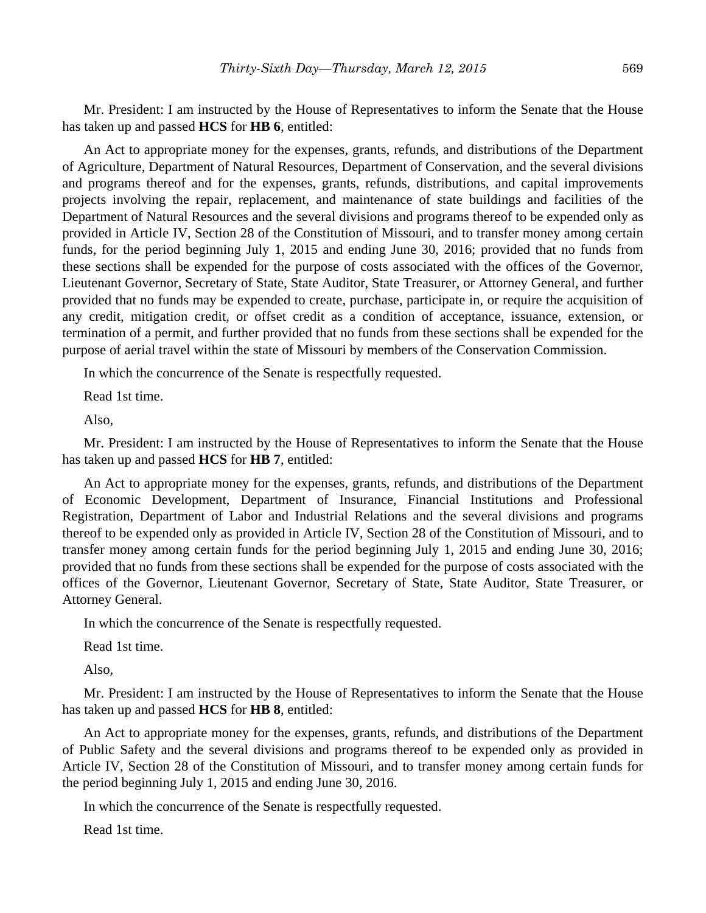Mr. President: I am instructed by the House of Representatives to inform the Senate that the House has taken up and passed **HCS** for **HB 6**, entitled:

An Act to appropriate money for the expenses, grants, refunds, and distributions of the Department of Agriculture, Department of Natural Resources, Department of Conservation, and the several divisions and programs thereof and for the expenses, grants, refunds, distributions, and capital improvements projects involving the repair, replacement, and maintenance of state buildings and facilities of the Department of Natural Resources and the several divisions and programs thereof to be expended only as provided in Article IV, Section 28 of the Constitution of Missouri, and to transfer money among certain funds, for the period beginning July 1, 2015 and ending June 30, 2016; provided that no funds from these sections shall be expended for the purpose of costs associated with the offices of the Governor, Lieutenant Governor, Secretary of State, State Auditor, State Treasurer, or Attorney General, and further provided that no funds may be expended to create, purchase, participate in, or require the acquisition of any credit, mitigation credit, or offset credit as a condition of acceptance, issuance, extension, or termination of a permit, and further provided that no funds from these sections shall be expended for the purpose of aerial travel within the state of Missouri by members of the Conservation Commission.

In which the concurrence of the Senate is respectfully requested.

Read 1st time.

Also,

Mr. President: I am instructed by the House of Representatives to inform the Senate that the House has taken up and passed **HCS** for **HB 7**, entitled:

An Act to appropriate money for the expenses, grants, refunds, and distributions of the Department of Economic Development, Department of Insurance, Financial Institutions and Professional Registration, Department of Labor and Industrial Relations and the several divisions and programs thereof to be expended only as provided in Article IV, Section 28 of the Constitution of Missouri, and to transfer money among certain funds for the period beginning July 1, 2015 and ending June 30, 2016; provided that no funds from these sections shall be expended for the purpose of costs associated with the offices of the Governor, Lieutenant Governor, Secretary of State, State Auditor, State Treasurer, or Attorney General.

In which the concurrence of the Senate is respectfully requested.

Read 1st time.

Also,

Mr. President: I am instructed by the House of Representatives to inform the Senate that the House has taken up and passed **HCS** for **HB 8**, entitled:

An Act to appropriate money for the expenses, grants, refunds, and distributions of the Department of Public Safety and the several divisions and programs thereof to be expended only as provided in Article IV, Section 28 of the Constitution of Missouri, and to transfer money among certain funds for the period beginning July 1, 2015 and ending June 30, 2016.

In which the concurrence of the Senate is respectfully requested.

Read 1st time.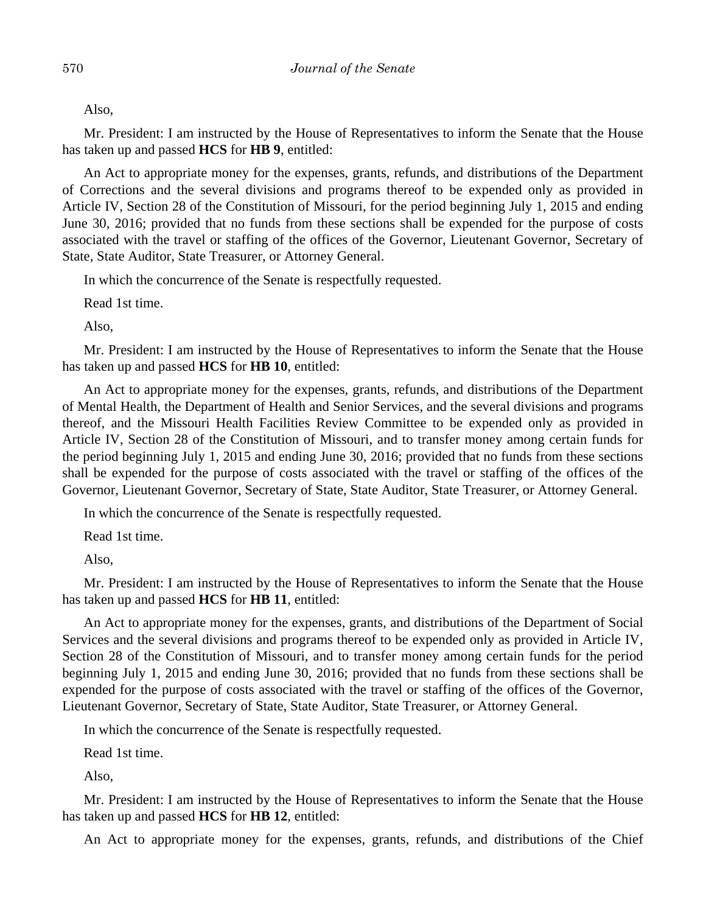Also,

Mr. President: I am instructed by the House of Representatives to inform the Senate that the House has taken up and passed **HCS** for **HB 9**, entitled:

An Act to appropriate money for the expenses, grants, refunds, and distributions of the Department of Corrections and the several divisions and programs thereof to be expended only as provided in Article IV, Section 28 of the Constitution of Missouri, for the period beginning July 1, 2015 and ending June 30, 2016; provided that no funds from these sections shall be expended for the purpose of costs associated with the travel or staffing of the offices of the Governor, Lieutenant Governor, Secretary of State, State Auditor, State Treasurer, or Attorney General.

In which the concurrence of the Senate is respectfully requested.

Read 1st time.

Also,

Mr. President: I am instructed by the House of Representatives to inform the Senate that the House has taken up and passed **HCS** for **HB 10**, entitled:

An Act to appropriate money for the expenses, grants, refunds, and distributions of the Department of Mental Health, the Department of Health and Senior Services, and the several divisions and programs thereof, and the Missouri Health Facilities Review Committee to be expended only as provided in Article IV, Section 28 of the Constitution of Missouri, and to transfer money among certain funds for the period beginning July 1, 2015 and ending June 30, 2016; provided that no funds from these sections shall be expended for the purpose of costs associated with the travel or staffing of the offices of the Governor, Lieutenant Governor, Secretary of State, State Auditor, State Treasurer, or Attorney General.

In which the concurrence of the Senate is respectfully requested.

Read 1st time.

Also,

Mr. President: I am instructed by the House of Representatives to inform the Senate that the House has taken up and passed **HCS** for **HB 11**, entitled:

An Act to appropriate money for the expenses, grants, and distributions of the Department of Social Services and the several divisions and programs thereof to be expended only as provided in Article IV, Section 28 of the Constitution of Missouri, and to transfer money among certain funds for the period beginning July 1, 2015 and ending June 30, 2016; provided that no funds from these sections shall be expended for the purpose of costs associated with the travel or staffing of the offices of the Governor, Lieutenant Governor, Secretary of State, State Auditor, State Treasurer, or Attorney General.

In which the concurrence of the Senate is respectfully requested.

Read 1st time.

Also,

Mr. President: I am instructed by the House of Representatives to inform the Senate that the House has taken up and passed **HCS** for **HB 12**, entitled:

An Act to appropriate money for the expenses, grants, refunds, and distributions of the Chief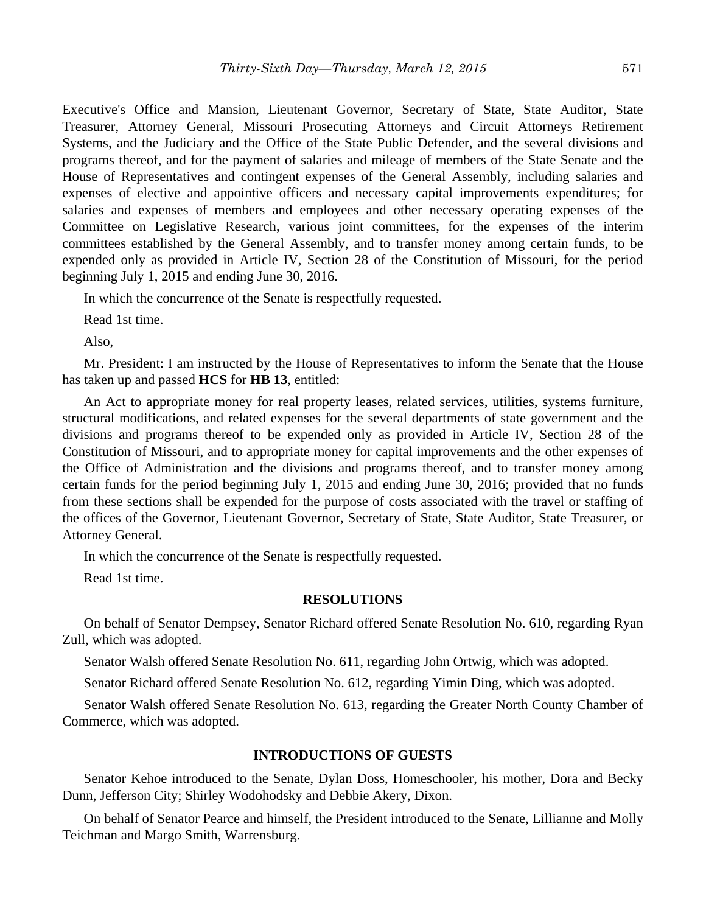Executive's Office and Mansion, Lieutenant Governor, Secretary of State, State Auditor, State Treasurer, Attorney General, Missouri Prosecuting Attorneys and Circuit Attorneys Retirement Systems, and the Judiciary and the Office of the State Public Defender, and the several divisions and programs thereof, and for the payment of salaries and mileage of members of the State Senate and the House of Representatives and contingent expenses of the General Assembly, including salaries and expenses of elective and appointive officers and necessary capital improvements expenditures; for salaries and expenses of members and employees and other necessary operating expenses of the Committee on Legislative Research, various joint committees, for the expenses of the interim committees established by the General Assembly, and to transfer money among certain funds, to be expended only as provided in Article IV, Section 28 of the Constitution of Missouri, for the period beginning July 1, 2015 and ending June 30, 2016.

In which the concurrence of the Senate is respectfully requested.

Read 1st time.

Also,

Mr. President: I am instructed by the House of Representatives to inform the Senate that the House has taken up and passed **HCS** for **HB 13**, entitled:

An Act to appropriate money for real property leases, related services, utilities, systems furniture, structural modifications, and related expenses for the several departments of state government and the divisions and programs thereof to be expended only as provided in Article IV, Section 28 of the Constitution of Missouri, and to appropriate money for capital improvements and the other expenses of the Office of Administration and the divisions and programs thereof, and to transfer money among certain funds for the period beginning July 1, 2015 and ending June 30, 2016; provided that no funds from these sections shall be expended for the purpose of costs associated with the travel or staffing of the offices of the Governor, Lieutenant Governor, Secretary of State, State Auditor, State Treasurer, or Attorney General.

In which the concurrence of the Senate is respectfully requested.

Read 1st time.

#### **RESOLUTIONS**

On behalf of Senator Dempsey, Senator Richard offered Senate Resolution No. 610, regarding Ryan Zull, which was adopted.

Senator Walsh offered Senate Resolution No. 611, regarding John Ortwig, which was adopted.

Senator Richard offered Senate Resolution No. 612, regarding Yimin Ding, which was adopted.

Senator Walsh offered Senate Resolution No. 613, regarding the Greater North County Chamber of Commerce, which was adopted.

#### **INTRODUCTIONS OF GUESTS**

Senator Kehoe introduced to the Senate, Dylan Doss, Homeschooler, his mother, Dora and Becky Dunn, Jefferson City; Shirley Wodohodsky and Debbie Akery, Dixon.

On behalf of Senator Pearce and himself, the President introduced to the Senate, Lillianne and Molly Teichman and Margo Smith, Warrensburg.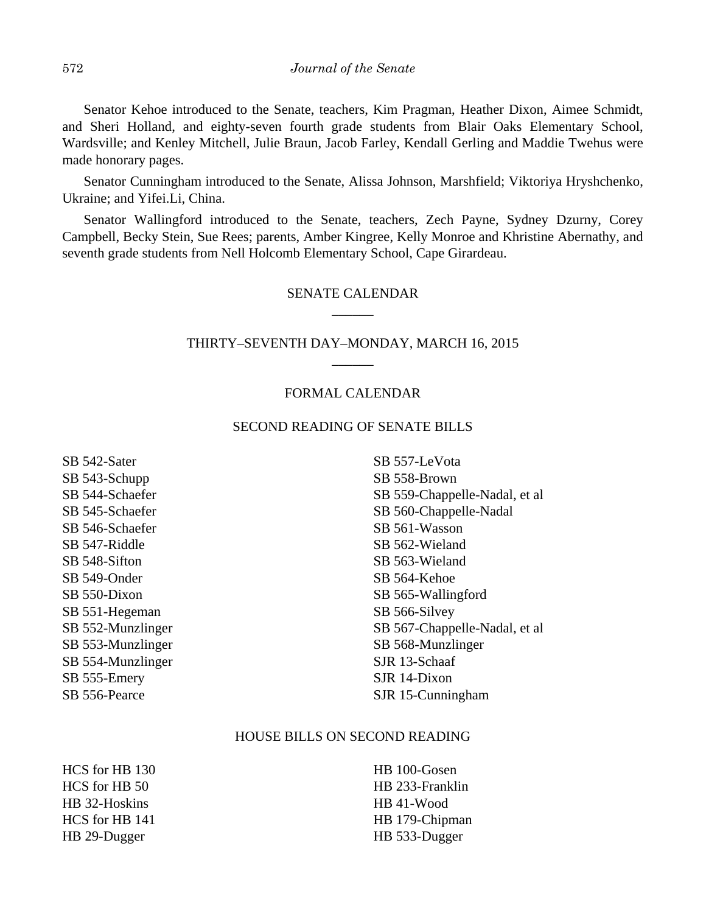Senator Kehoe introduced to the Senate, teachers, Kim Pragman, Heather Dixon, Aimee Schmidt, and Sheri Holland, and eighty-seven fourth grade students from Blair Oaks Elementary School, Wardsville; and Kenley Mitchell, Julie Braun, Jacob Farley, Kendall Gerling and Maddie Twehus were made honorary pages.

Senator Cunningham introduced to the Senate, Alissa Johnson, Marshfield; Viktoriya Hryshchenko, Ukraine; and Yifei.Li, China.

Senator Wallingford introduced to the Senate, teachers, Zech Payne, Sydney Dzurny, Corey Campbell, Becky Stein, Sue Rees; parents, Amber Kingree, Kelly Monroe and Khristine Abernathy, and seventh grade students from Nell Holcomb Elementary School, Cape Girardeau.

## SENATE CALENDAR \_\_\_\_\_\_

## THIRTY–SEVENTH DAY–MONDAY, MARCH 16, 2015 \_\_\_\_\_\_

#### FORMAL CALENDAR

#### SECOND READING OF SENATE BILLS

SB 542-Sater SB 543-Schupp SB 544-Schaefer SB 545-Schaefer SB 546-Schaefer SB 547-Riddle SB 548-Sifton SB 549-Onder SB 550-Dixon SB 551-Hegeman SB 552-Munzlinger SB 553-Munzlinger SB 554-Munzlinger SB 555-Emery SB 556-Pearce

SB 557-LeVota SB 558-Brown SB 559-Chappelle-Nadal, et al SB 560-Chappelle-Nadal SB 561-Wasson SB 562-Wieland SB 563-Wieland SB 564-Kehoe SB 565-Wallingford SB 566-Silvey SB 567-Chappelle-Nadal, et al SB 568-Munzlinger SJR 13-Schaaf SJR 14-Dixon SJR 15-Cunningham

#### HOUSE BILLS ON SECOND READING

HCS for HB 130 HCS for HB 50 HB 32-Hoskins HCS for HB 141 HB 29-Dugger

HB 100-Gosen HB 233-Franklin HB 41-Wood HB 179-Chipman HB 533-Dugger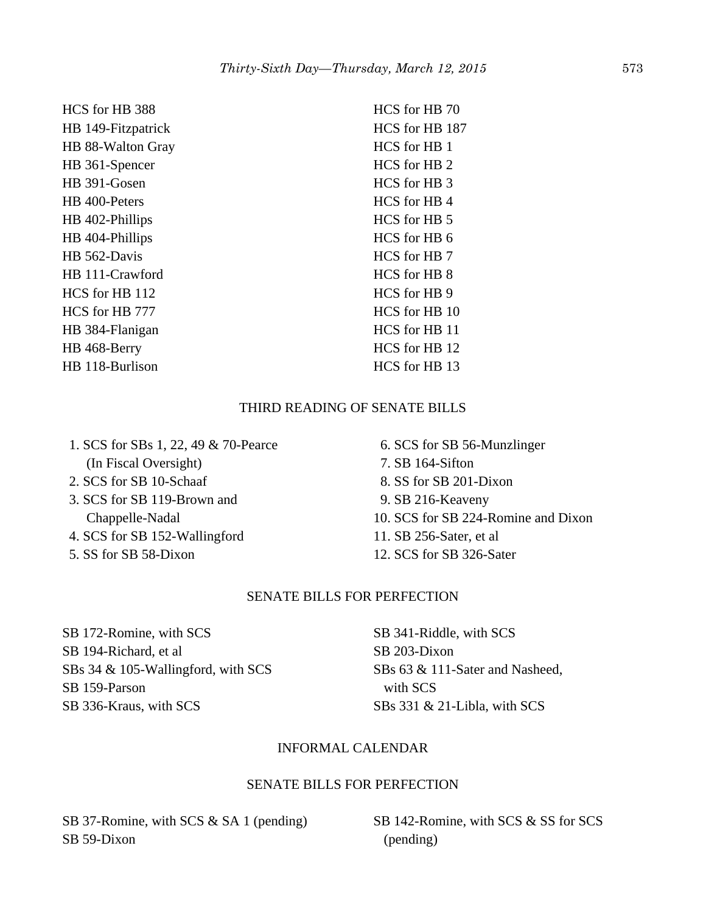| HCS for HB 388     | HCS for HB 70  |
|--------------------|----------------|
| HB 149-Fitzpatrick | HCS for HB 187 |
| HB 88-Walton Gray  | HCS for HB 1   |
| HB 361-Spencer     | HCS for HB 2   |
| HB 391-Gosen       | HCS for HB 3   |
| HB 400-Peters      | HCS for HB4    |
| HB 402-Phillips    | HCS for HB 5   |
| HB 404-Phillips    | HCS for HB 6   |
| HB 562-Davis       | HCS for HB 7   |
| HB 111-Crawford    | HCS for HB 8   |
| HCS for HB 112     | HCS for HB 9   |
| HCS for HB 777     | HCS for HB 10  |
| HB 384-Flanigan    | HCS for HB 11  |
| HB 468-Berry       | HCS for HB 12  |
| HB 118-Burlison    | HCS for HB 13  |
|                    |                |

# THIRD READING OF SENATE BILLS

| 1. SCS for SBs 1, 22, 49 & 70-Pearce |  |
|--------------------------------------|--|
| (In Fiscal Oversight)                |  |
| 2. SCS for SB 10-Schaaf              |  |

- 3. SCS for SB 119-Brown and Chappelle-Nadal
- 4. SCS for SB 152-Wallingford
- 5. SS for SB 58-Dixon

 6. SCS for SB 56-Munzlinger 7. SB 164-Sifton 8. SS for SB 201-Dixon 9. SB 216-Keaveny 10. SCS for SB 224-Romine and Dixon 11. SB 256-Sater, et al 12. SCS for SB 326-Sater

## SENATE BILLS FOR PERFECTION

SB 172-Romine, with SCS SB 194-Richard, et al SBs 34 & 105-Wallingford, with SCS SB 159-Parson SB 336-Kraus, with SCS

SB 341-Riddle, with SCS SB 203-Dixon SBs 63 & 111-Sater and Nasheed, with SCS SBs 331 & 21-Libla, with SCS

## INFORMAL CALENDAR

#### SENATE BILLS FOR PERFECTION

SB 37-Romine, with SCS & SA 1 (pending) SB 59-Dixon

SB 142-Romine, with SCS & SS for SCS (pending)